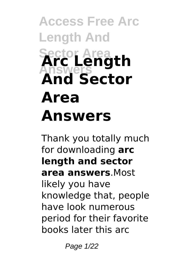# **Access Free Arc Length And Sector Area Answers Arc Length And Sector Area Answers**

Thank you totally much for downloading **arc length and sector area answers**.Most likely you have knowledge that, people have look numerous period for their favorite books later this arc

Page 1/22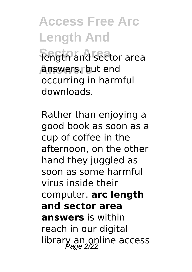**Tength and sector area Answers** answers, but end occurring in harmful downloads.

Rather than enjoying a good book as soon as a cup of coffee in the afternoon, on the other hand they juggled as soon as some harmful virus inside their computer. **arc length and sector area answers** is within reach in our digital library an online access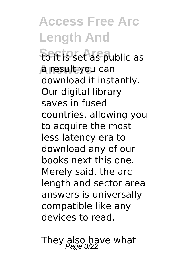**Fort is set as public as Answers** a result you can download it instantly. Our digital library saves in fused countries, allowing you to acquire the most less latency era to download any of our books next this one. Merely said, the arc length and sector area answers is universally compatible like any devices to read.

They also have what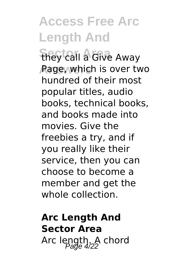**Sector Area** they call a Give Away **Answers** Page, which is over two hundred of their most popular titles, audio books, technical books, and books made into movies. Give the freebies a try, and if you really like their service, then you can choose to become a member and get the whole collection.

### **Arc Length And Sector Area** Arc length. A chord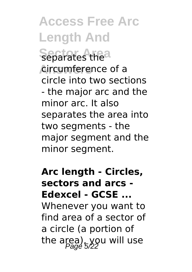**Separates thea Answers** circumference of a circle into two sections - the major arc and the minor arc. It also separates the area into two segments - the major segment and the minor segment.

**Arc length - Circles, sectors and arcs - Edexcel - GCSE ...** Whenever you want to find area of a sector of a circle (a portion of the area), you will use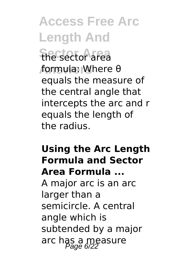**Sector Area** the sector area **Answers** formula: Where θ equals the measure of the central angle that intercepts the arc and r equals the length of the radius.

#### **Using the Arc Length Formula and Sector Area Formula ...**

A major arc is an arc larger than a semicircle. A central angle which is subtended by a major arc has a measure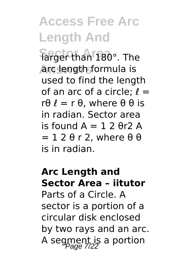larger than 180°. The **Answers** arc length formula is used to find the length of an arc of a circle:  $\ell =$  $r\theta$   $\ell$  = r θ, where θ θ is in radian. Sector area is found  $A = 1, 2, \theta r$ 2 A  $= 12 \theta$  r 2, where  $\theta \theta$ is in radian.

#### **Arc Length and Sector Area – iitutor** Parts of a Circle. A

sector is a portion of a circular disk enclosed by two rays and an arc. A segment is a portion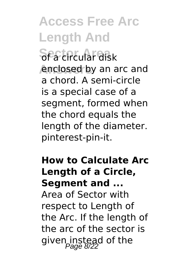**Sector Area** of a circular disk enclosed by an arc and a chord. A semi-circle is a special case of a segment, formed when the chord equals the length of the diameter. pinterest-pin-it.

#### **How to Calculate Arc Length of a Circle, Segment and ...**

Area of Sector with respect to Length of the Arc. If the length of the arc of the sector is given instead of the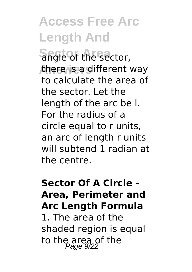**Shgle of the sector, Answers** there is a different way to calculate the area of the sector. Let the length of the arc be l. For the radius of a circle equal to r units, an arc of length r units will subtend 1 radian at the centre.

#### **Sector Of A Circle - Area, Perimeter and Arc Length Formula**

1. The area of the shaded region is equal to the area of the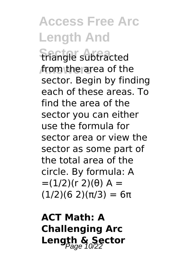**Sector Area** triangle subtracted **Answers** from the area of the sector. Begin by finding each of these areas. To find the area of the sector you can either use the formula for sector area or view the sector as some part of the total area of the circle. By formula: A  $=(1/2)(r 2)(θ)$  A = (1/2)(6 2)(π/3) = 6π

**ACT Math: A Challenging Arc Length & Sector**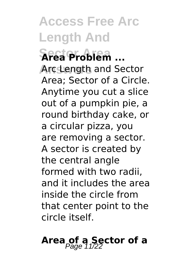**Sector Area Area Problem ... Answers** Arc Length and Sector Area; Sector of a Circle. Anytime you cut a slice out of a pumpkin pie, a round birthday cake, or a circular pizza, you are removing a sector. A sector is created by the central angle formed with two radii, and it includes the area inside the circle from that center point to the circle itself.

# Area of a Sector of a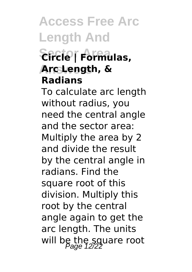### **Sector Area Circle | Formulas, Answers Arc Length, & Radians**

To calculate arc length without radius, you need the central angle and the sector area: Multiply the area by 2 and divide the result by the central angle in radians. Find the square root of this division. Multiply this root by the central angle again to get the arc length. The units will be the square root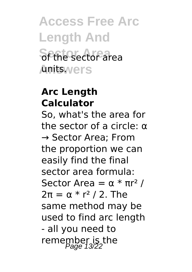### **Access Free Arc Length And Sector Area** of the sector area Anitswers

#### **Arc Length Calculator**

So, what's the area for the sector of a circle: α → Sector Area; From the proportion we can easily find the final sector area formula: Sector Area =  $\alpha * \pi r^2$  /  $2π = α * r<sup>2</sup> / 2$ . The same method may be used to find arc length - all you need to remember is the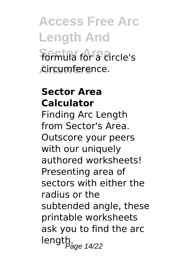### **Access Free Arc Length And Formula for a circle's Answers** circumference.

#### **Sector Area Calculator**

Finding Arc Length from Sector's Area. Outscore your peers with our uniquely authored worksheets! Presenting area of sectors with either the radius or the subtended angle, these printable worksheets ask you to find the arc length.  $P_{\text{age 14/22}}$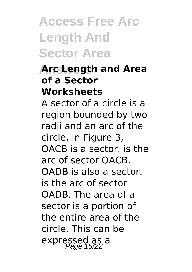### **Access Free Arc Length And Sector Area**

#### **Answers Arc Length and Area of a Sector Worksheets**

A sector of a circle is a region bounded by two radii and an arc of the circle. In Figure 3, OACB is a sector. is the arc of sector OACB. OADB is also a sector. is the arc of sector OADB. The area of a sector is a portion of the entire area of the circle. This can be expressed as a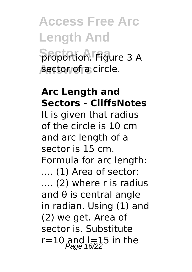### **Access Free Arc Length And Proportion. Figure 3 A** sector of a circle.

#### **Arc Length and Sectors - CliffsNotes**

It is given that radius of the circle is 10 cm and arc length of a sector is 15 cm. Formula for arc length: .... (1) Area of sector: .... (2) where r is radius and θ is central angle in radian. Using (1) and (2) we get. Area of sector is. Substitute r=10 and  $I=15$  in the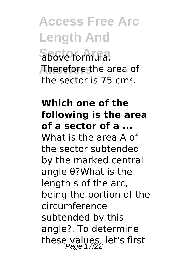### **Access Free Arc Length And Sector Area** above formula. **Answers** Therefore the area of the sector is 75 cm².

#### **Which one of the following is the area of a sector of a ...** What is the area A of the sector subtended by the marked central angle θ?What is the length s of the arc, being the portion of the circumference subtended by this angle?. To determine these values, let's first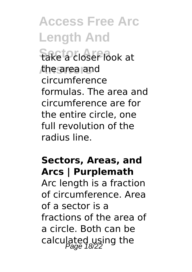**Sector Area** take a closer look at **Answers** the area and circumference formulas. The area and circumference are for the entire circle, one full revolution of the radius line.

#### **Sectors, Areas, and Arcs | Purplemath**

Arc length is a fraction of circumference. Area of a sector is a fractions of the area of a circle. Both can be calculated using the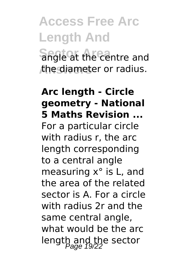### **Access Free Arc Length And Shgle at the centre and Answers** the diameter or radius.

#### **Arc length - Circle geometry - National 5 Maths Revision ...** For a particular circle with radius r, the arc length corresponding to a central angle measuring x° is L, and the area of the related sector is A. For a circle with radius 2r and the same central angle, what would be the arc length and the sector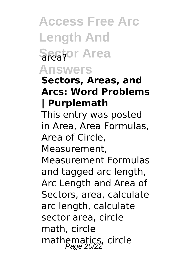### **Access Free Arc Length And Sector Area Answers**

#### **Sectors, Areas, and Arcs: Word Problems | Purplemath**

This entry was posted in Area, Area Formulas, Area of Circle,

Measurement,

Measurement Formulas and tagged arc length, Arc Length and Area of Sectors, area, calculate arc length, calculate sector area, circle math, circle mathematics, circle<br>Page 20/22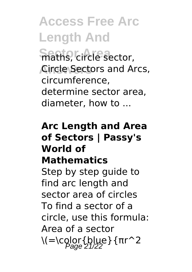**Shaths, circle sector, Answers** Circle Sectors and Arcs, circumference, determine sector area, diameter, how to ...

#### **Arc Length and Area of Sectors | Passy's World of Mathematics**

Step by step guide to find arc length and sector area of circles To find a sector of a circle, use this formula: Area of a sector  $\left\langle (-\infty) \right\rangle$   $\left\{ \frac{b}{22} \right\}$  { $\pi r^2$  2